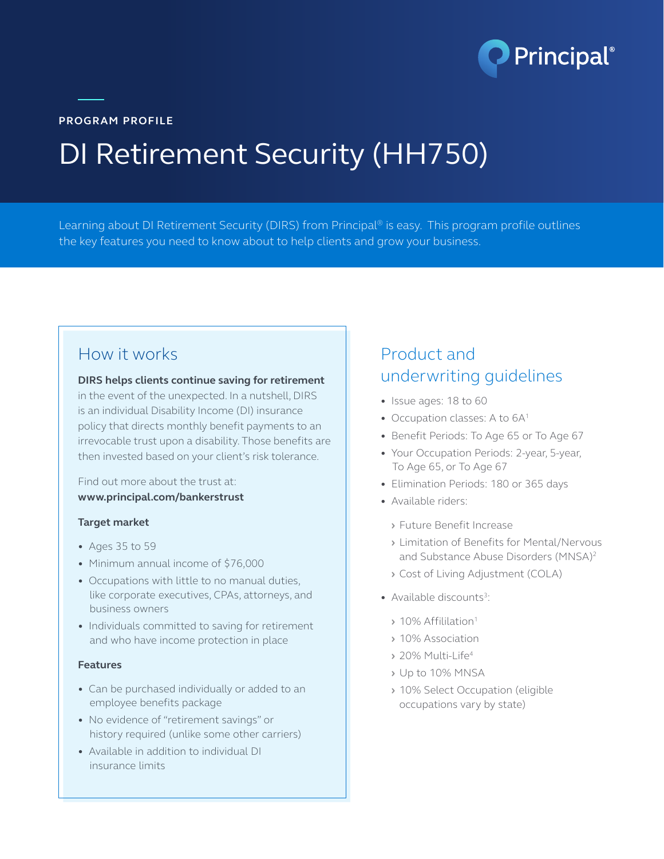

**PROGRAM PROFILE**

# DI Retirement Security (HH750)

Learning about DI Retirement Security (DIRS) from Principal® is easy. This program profile outlines the key features you need to know about to help clients and grow your business.

#### How it works

**DIRS helps clients continue saving for retirement** 

in the event of the unexpected. In a nutshell, DIRS is an individual Disability Income (DI) insurance policy that directs monthly benefit payments to an irrevocable trust upon a disability. Those benefits are then invested based on your client's risk tolerance.

Find out more about the trust at: **www.principal.com/bankerstrust**

#### **Target market**

- **•** Ages 35 to 59
- **•** Minimum annual income of \$76,000
- **•** Occupations with little to no manual duties, like corporate executives, CPAs, attorneys, and business owners
- **•** Individuals committed to saving for retirement and who have income protection in place

#### **Features**

- **•** Can be purchased individually or added to an employee benefits package
- **•** No evidence of "retirement savings" or history required (unlike some other carriers)
- **•** Available in addition to individual DI insurance limits

### Product and underwriting guidelines

- **•** Issue ages: 18 to 60
- Occupation classes: A to 6A<sup>1</sup>
- **•** Benefit Periods: To Age 65 or To Age 67
- **•** Your Occupation Periods: 2-year, 5-year, To Age 65, or To Age 67
- **•** Elimination Periods: 180 or 365 days
- **•** Available riders:
	- **›** Future Benefit Increase
	- **›** Limitation of Benefits for Mental/Nervous and Substance Abuse Disorders (MNSA)2
	- **›** Cost of Living Adjustment (COLA)
- Available discounts<sup>3</sup>:
	- **›** 10% Affililation1
	- **›** 10% Association
	- **›** 20% Multi-Life4
	- **›** Up to 10% MNSA
	- **›** 10% Select Occupation (eligible occupations vary by state)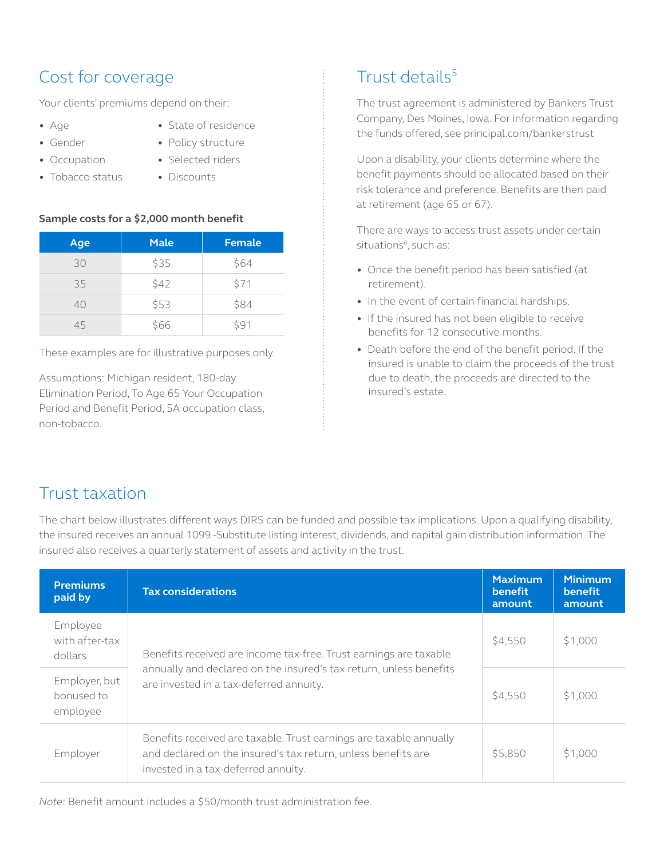## Cost for coverage

Your clients' premiums depend on their:

- **•** Age
- **•** Gender

**•** Occupation

- **•** State of residence **•** Policy structure
- **•** Selected riders
- **•** Tobacco status
- **•** Discounts

#### **Sample costs for a \$2,000 month benefit**

| Age | <b>Male</b> | Female |
|-----|-------------|--------|
| 30  | \$35        | \$64   |
| 35  | \$42        | \$71   |
| 40  | \$53        | \$84   |
| 45  | \$66        | \$91   |

These examples are for illustrative purposes only.

Assumptions: Michigan resident, 180-day Elimination Period, To Age 65 Your Occupation Period and Benefit Period, 5A occupation class, non-tobacco.

# Trust details5

The trust agreement is administered by Bankers Trust Company, Des Moines, Iowa. For information regarding the funds offered, see principal.com/bankerstrust

Upon a disability, your clients determine where the benefit payments should be allocated based on their risk tolerance and preference. Benefits are then paid at retirement (age 65 or 67).

There are ways to access trust assets under certain situations<sup>6</sup>, such as:

- **•** Once the benefit period has been satisfied (at retirement).
- **•** In the event of certain financial hardships.
- **•** If the insured has not been eligible to receive benefits for 12 consecutive months.
- **•** Death before the end of the benefit period. If the insured is unable to claim the proceeds of the trust due to death, the proceeds are directed to the insured's estate.

### Trust taxation

The chart below illustrates different ways DIRS can be funded and possible tax implications. Upon a qualifying disability, the insured receives an annual 1099 -Substitute listing interest, dividends, and capital gain distribution information. The insured also receives a quarterly statement of assets and activity in the trust.

| <b>Premiums</b><br>paid by              | <b>Tax considerations</b>                                                                                                                                                  | <b>Maximum</b><br>benefit<br>amount | <b>Minimum</b><br>benefit<br>amount |
|-----------------------------------------|----------------------------------------------------------------------------------------------------------------------------------------------------------------------------|-------------------------------------|-------------------------------------|
| Employee<br>with after-tax<br>dollars   | Benefits received are income tax-free. Trust earnings are taxable                                                                                                          | \$4,550                             | \$1,000                             |
| Employer, but<br>bonused to<br>employee | annually and declared on the insured's tax return, unless benefits<br>are invested in a tax-deferred annuity.                                                              | \$4,550                             | \$1,000                             |
| Employer                                | Benefits received are taxable. Trust earnings are taxable annually<br>and declared on the insured's tax return, unless benefits are<br>invested in a tax-deferred annuity. | \$5,850                             | \$1,000                             |

*Note:* Benefit amount includes a \$50/month trust administration fee.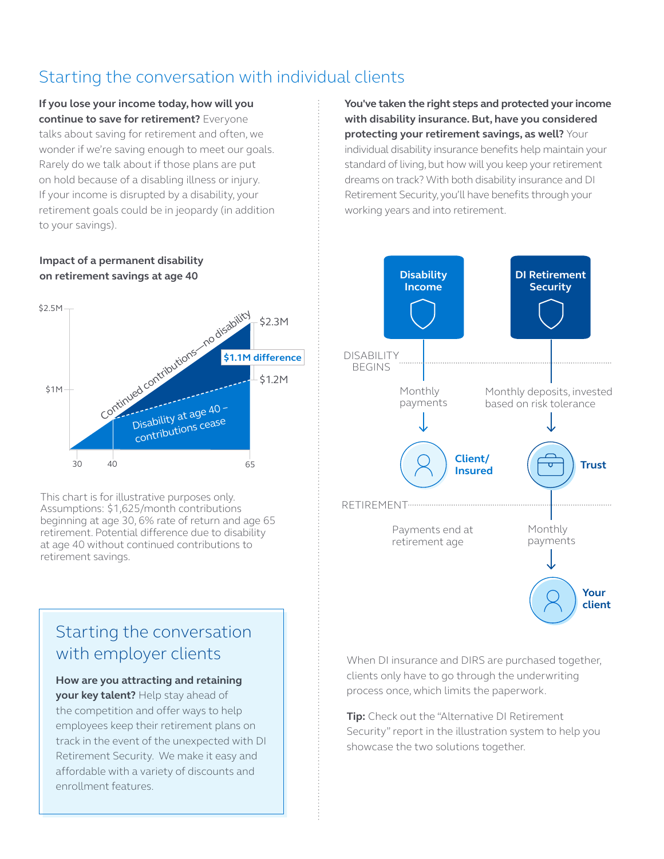# Starting the conversation with individual clients

**If you lose your income today, how will you continue to save for retirement?** Everyone talks about saving for retirement and often, we wonder if we're saving enough to meet our goals. Rarely do we talk about if those plans are put on hold because of a disabling illness or injury. If your income is disrupted by a disability, your retirement goals could be in jeopardy (in addition to your savings).

**Impact of a permanent disability on retirement savings at age 40**



This chart is for illustrative purposes only. Assumptions: \$1,625/month contributions beginning at age 30, 6% rate of return and age 65 retirement. Potential difference due to disability at age 40 without continued contributions to retirement savings.

# Starting the conversation with employer clients

#### **How are you attracting and retaining**

**your key talent?** Help stay ahead of the competition and offer ways to help employees keep their retirement plans on track in the event of the unexpected with DI Retirement Security. We make it easy and affordable with a variety of discounts and enrollment features.

**You've taken the right steps and protected your income with disability insurance. But, have you considered protecting your retirement savings, as well?** Your individual disability insurance benefits help maintain your standard of living, but how will you keep your retirement dreams on track? With both disability insurance and DI Retirement Security, you'll have benefits through your working years and into retirement.



When DI insurance and DIRS are purchased together, clients only have to go through the underwriting process once, which limits the paperwork.

**Tip:** Check out the "Alternative DI Retirement Security" report in the illustration system to help you showcase the two solutions together.